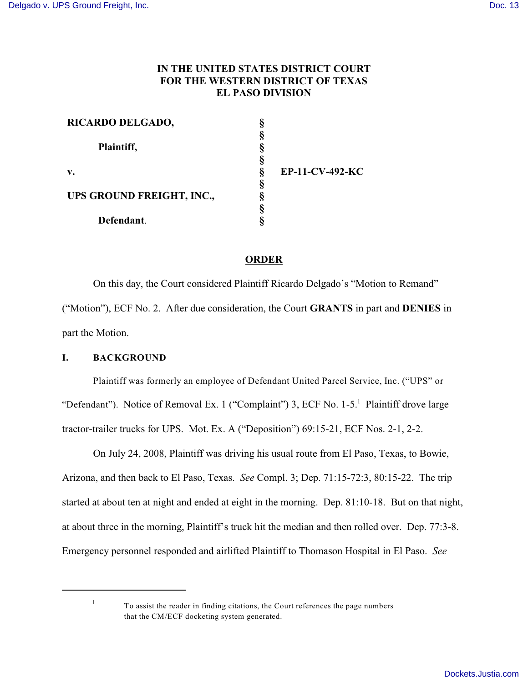# **IN THE UNITED STATES DISTRICT COURT FOR THE WESTERN DISTRICT OF TEXAS EL PASO DIVISION**

| RICARDO DELGADO,          |                 |
|---------------------------|-----------------|
|                           |                 |
| Plaintiff,                |                 |
|                           |                 |
| $V_{\bullet}$             | EP-11-CV-492-KC |
|                           |                 |
| UPS GROUND FREIGHT, INC., |                 |
|                           |                 |
| Defendant.                |                 |

# **ORDER**

On this day, the Court considered Plaintiff Ricardo Delgado's "Motion to Remand" ("Motion"), ECF No. 2. After due consideration, the Court **GRANTS** in part and **DENIES** in part the Motion.

## **I. BACKGROUND**

Plaintiff was formerly an employee of Defendant United Parcel Service, Inc. ("UPS" or "Defendant"). Notice of Removal Ex. 1 ("Complaint") 3, ECF No. 1-5.<sup>1</sup> Plaintiff drove large tractor-trailer trucks for UPS. Mot. Ex. A ("Deposition") 69:15-21, ECF Nos. 2-1, 2-2.

On July 24, 2008, Plaintiff was driving his usual route from El Paso, Texas, to Bowie, Arizona, and then back to El Paso, Texas. *See* Compl. 3; Dep. 71:15-72:3, 80:15-22. The trip started at about ten at night and ended at eight in the morning. Dep. 81:10-18. But on that night, at about three in the morning, Plaintiff's truck hit the median and then rolled over. Dep. 77:3-8. Emergency personnel responded and airlifted Plaintiff to Thomason Hospital in El Paso. *See*

1

To assist the reader in finding citations, the Court references the page numbers that the CM/ECF docketing system generated.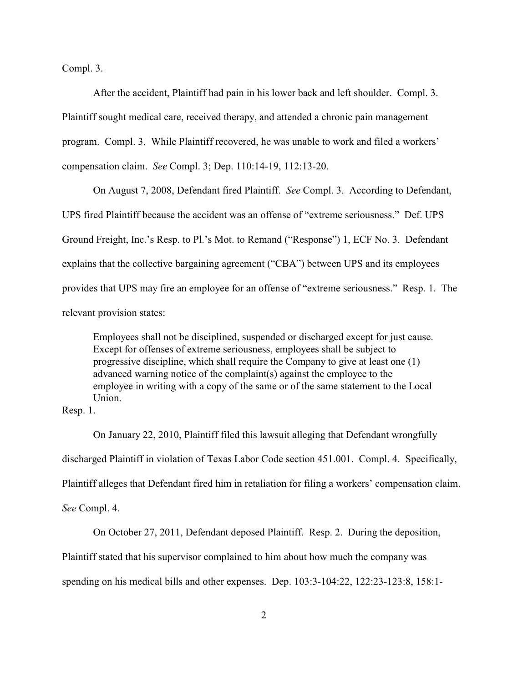Compl. 3.

After the accident, Plaintiff had pain in his lower back and left shoulder. Compl. 3. Plaintiff sought medical care, received therapy, and attended a chronic pain management program. Compl. 3. While Plaintiff recovered, he was unable to work and filed a workers' compensation claim. *See* Compl. 3; Dep. 110:14-19, 112:13-20.

On August 7, 2008, Defendant fired Plaintiff. *See* Compl. 3. According to Defendant, UPS fired Plaintiff because the accident was an offense of "extreme seriousness." Def. UPS Ground Freight, Inc.'s Resp. to Pl.'s Mot. to Remand ("Response") 1, ECF No. 3. Defendant explains that the collective bargaining agreement ("CBA") between UPS and its employees provides that UPS may fire an employee for an offense of "extreme seriousness." Resp. 1. The relevant provision states:

Employees shall not be disciplined, suspended or discharged except for just cause. Except for offenses of extreme seriousness, employees shall be subject to progressive discipline, which shall require the Company to give at least one (1) advanced warning notice of the complaint(s) against the employee to the employee in writing with a copy of the same or of the same statement to the Local Union.

Resp. 1.

On January 22, 2010, Plaintiff filed this lawsuit alleging that Defendant wrongfully discharged Plaintiff in violation of Texas Labor Code section 451.001. Compl. 4. Specifically, Plaintiff alleges that Defendant fired him in retaliation for filing a workers' compensation claim. *See* Compl. 4.

On October 27, 2011, Defendant deposed Plaintiff. Resp. 2. During the deposition,

Plaintiff stated that his supervisor complained to him about how much the company was

spending on his medical bills and other expenses. Dep. 103:3-104:22, 122:23-123:8, 158:1-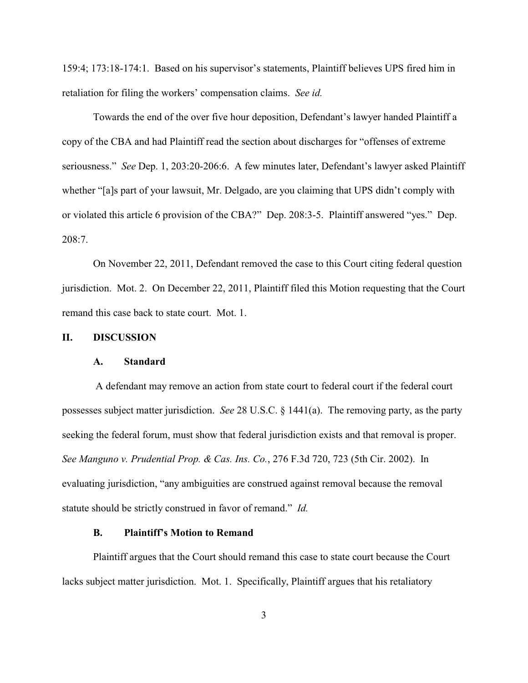159:4; 173:18-174:1. Based on his supervisor's statements, Plaintiff believes UPS fired him in retaliation for filing the workers' compensation claims. *See id.*

Towards the end of the over five hour deposition, Defendant's lawyer handed Plaintiff a copy of the CBA and had Plaintiff read the section about discharges for "offenses of extreme seriousness." *See* Dep. 1, 203:20-206:6. A few minutes later, Defendant's lawyer asked Plaintiff whether "[a]s part of your lawsuit, Mr. Delgado, are you claiming that UPS didn't comply with or violated this article 6 provision of the CBA?" Dep. 208:3-5. Plaintiff answered "yes." Dep.  $208.7$ 

On November 22, 2011, Defendant removed the case to this Court citing federal question jurisdiction. Mot. 2. On December 22, 2011, Plaintiff filed this Motion requesting that the Court remand this case back to state court. Mot. 1.

### **II. DISCUSSION**

### **A. Standard**

 A defendant may remove an action from state court to federal court if the federal court possesses subject matter jurisdiction. *See* 28 U.S.C. § 1441(a). The removing party, as the party seeking the federal forum, must show that federal jurisdiction exists and that removal is proper. *See Manguno v. Prudential Prop. & Cas. Ins. Co.*, 276 F.3d 720, 723 (5th Cir. 2002). In evaluating jurisdiction, "any ambiguities are construed against removal because the removal statute should be strictly construed in favor of remand." *Id.*

## **B. Plaintiff's Motion to Remand**

Plaintiff argues that the Court should remand this case to state court because the Court lacks subject matter jurisdiction. Mot. 1. Specifically, Plaintiff argues that his retaliatory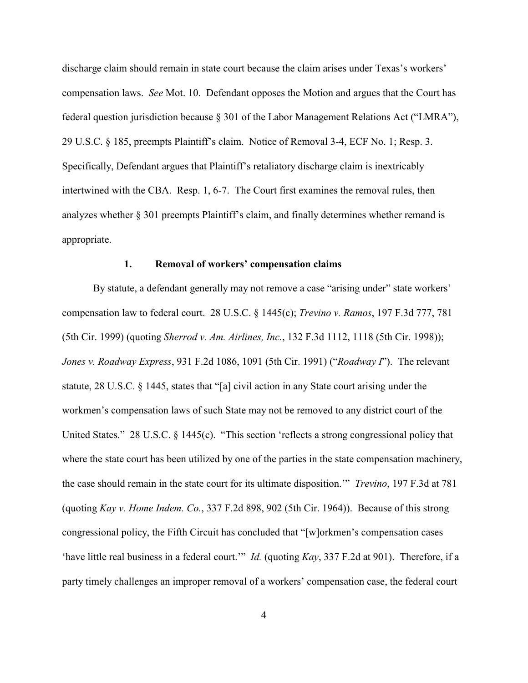discharge claim should remain in state court because the claim arises under Texas's workers' compensation laws. *See* Mot. 10. Defendant opposes the Motion and argues that the Court has federal question jurisdiction because § 301 of the Labor Management Relations Act ("LMRA"), 29 U.S.C. § 185, preempts Plaintiff's claim. Notice of Removal 3-4, ECF No. 1; Resp. 3. Specifically, Defendant argues that Plaintiff's retaliatory discharge claim is inextricably intertwined with the CBA. Resp. 1, 6-7. The Court first examines the removal rules, then analyzes whether § 301 preempts Plaintiff's claim, and finally determines whether remand is appropriate.

## **1. Removal of workers' compensation claims**

By statute, a defendant generally may not remove a case "arising under" state workers' compensation law to federal court. 28 U.S.C. § 1445(c); *Trevino v. Ramos*, 197 F.3d 777, 781 (5th Cir. 1999) (quoting *Sherrod v. Am. Airlines, Inc.*, 132 F.3d 1112, 1118 (5th Cir. 1998)); *Jones v. Roadway Express*, 931 F.2d 1086, 1091 (5th Cir. 1991) ("*Roadway I*"). The relevant statute, 28 U.S.C. § 1445, states that "[a] civil action in any State court arising under the workmen's compensation laws of such State may not be removed to any district court of the United States." 28 U.S.C. § 1445(c). "This section 'reflects a strong congressional policy that where the state court has been utilized by one of the parties in the state compensation machinery, the case should remain in the state court for its ultimate disposition.'" *Trevino*, 197 F.3d at 781 (quoting *Kay v. Home Indem. Co.*, 337 F.2d 898, 902 (5th Cir. 1964)). Because of this strong congressional policy, the Fifth Circuit has concluded that "[w]orkmen's compensation cases 'have little real business in a federal court.'" *Id.* (quoting *Kay*, 337 F.2d at 901). Therefore, if a party timely challenges an improper removal of a workers' compensation case, the federal court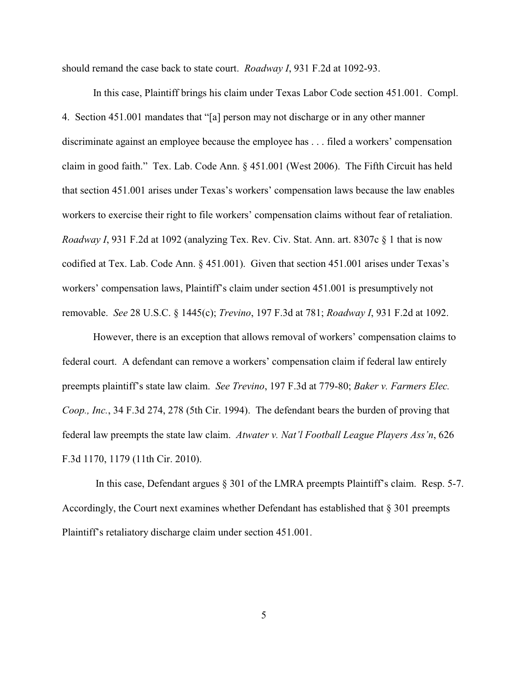should remand the case back to state court. *Roadway I*, 931 F.2d at 1092-93.

In this case, Plaintiff brings his claim under Texas Labor Code section 451.001. Compl. 4. Section 451.001 mandates that "[a] person may not discharge or in any other manner discriminate against an employee because the employee has . . . filed a workers' compensation claim in good faith." Tex. Lab. Code Ann. § 451.001 (West 2006). The Fifth Circuit has held that section 451.001 arises under Texas's workers' compensation laws because the law enables workers to exercise their right to file workers' compensation claims without fear of retaliation. *Roadway I*, 931 F.2d at 1092 (analyzing Tex. Rev. Civ. Stat. Ann. art. 8307c § 1 that is now codified at Tex. Lab. Code Ann. § 451.001). Given that section 451.001 arises under Texas's workers' compensation laws, Plaintiff's claim under section 451.001 is presumptively not removable. *See* 28 U.S.C. § 1445(c); *Trevino*, 197 F.3d at 781; *Roadway I*, 931 F.2d at 1092.

However, there is an exception that allows removal of workers' compensation claims to federal court. A defendant can remove a workers' compensation claim if federal law entirely preempts plaintiff's state law claim. *See Trevino*, 197 F.3d at 779-80; *Baker v. Farmers Elec. Coop., Inc.*, 34 F.3d 274, 278 (5th Cir. 1994). The defendant bears the burden of proving that federal law preempts the state law claim. *Atwater v. Nat'l Football League Players Ass'n*, 626 F.3d 1170, 1179 (11th Cir. 2010).

In this case, Defendant argues § 301 of the LMRA preempts Plaintiff's claim. Resp. 5-7. Accordingly, the Court next examines whether Defendant has established that § 301 preempts Plaintiff's retaliatory discharge claim under section 451.001.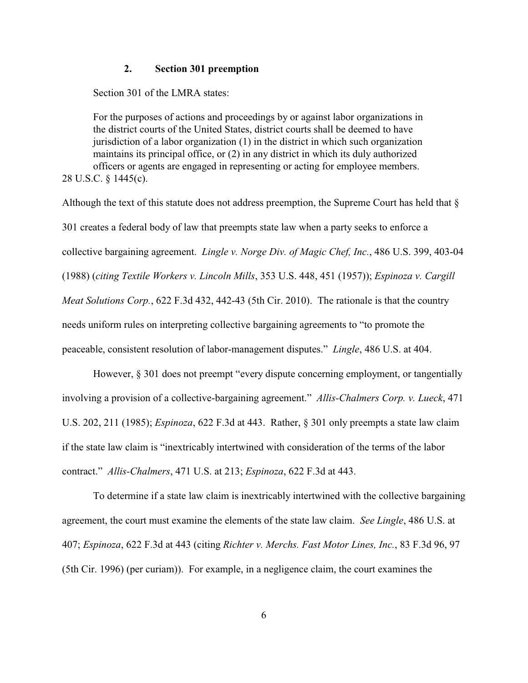## **2. Section 301 preemption**

Section 301 of the LMRA states:

For the purposes of actions and proceedings by or against labor organizations in the district courts of the United States, district courts shall be deemed to have jurisdiction of a labor organization (1) in the district in which such organization maintains its principal office, or (2) in any district in which its duly authorized officers or agents are engaged in representing or acting for employee members. 28 U.S.C. § 1445(c).

Although the text of this statute does not address preemption, the Supreme Court has held that § 301 creates a federal body of law that preempts state law when a party seeks to enforce a collective bargaining agreement. *Lingle v. Norge Div. of Magic Chef, Inc.*, 486 U.S. 399, 403-04 (1988) (*citing Textile Workers v. Lincoln Mills*, 353 U.S. 448, 451 (1957)); *Espinoza v. Cargill Meat Solutions Corp.*, 622 F.3d 432, 442-43 (5th Cir. 2010). The rationale is that the country needs uniform rules on interpreting collective bargaining agreements to "to promote the peaceable, consistent resolution of labor-management disputes." *Lingle*, 486 U.S. at 404.

However, § 301 does not preempt "every dispute concerning employment, or tangentially involving a provision of a collective-bargaining agreement." *Allis-Chalmers Corp. v. Lueck*, 471 U.S. 202, 211 (1985); *Espinoza*, 622 F.3d at 443. Rather, § 301 only preempts a state law claim if the state law claim is "inextricably intertwined with consideration of the terms of the labor contract." *Allis-Chalmers*, 471 U.S. at 213; *Espinoza*, 622 F.3d at 443.

To determine if a state law claim is inextricably intertwined with the collective bargaining agreement, the court must examine the elements of the state law claim. *See Lingle*, 486 U.S. at 407; *Espinoza*, 622 F.3d at 443 (citing *Richter v. Merchs. Fast Motor Lines, Inc.*, 83 F.3d 96, 97 (5th Cir. 1996) (per curiam)). For example, in a negligence claim, the court examines the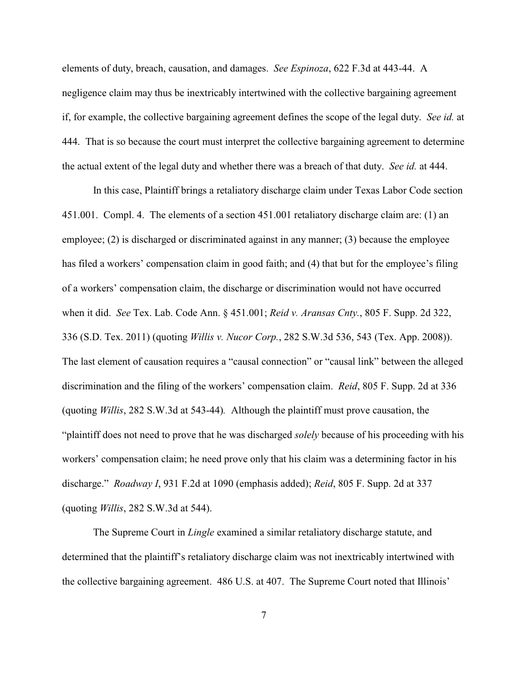elements of duty, breach, causation, and damages. *See Espinoza*, 622 F.3d at 443-44. A negligence claim may thus be inextricably intertwined with the collective bargaining agreement if, for example, the collective bargaining agreement defines the scope of the legal duty. *See id.* at 444. That is so because the court must interpret the collective bargaining agreement to determine the actual extent of the legal duty and whether there was a breach of that duty. *See id.* at 444.

In this case, Plaintiff brings a retaliatory discharge claim under Texas Labor Code section 451.001. Compl. 4. The elements of a section 451.001 retaliatory discharge claim are: (1) an employee; (2) is discharged or discriminated against in any manner; (3) because the employee has filed a workers' compensation claim in good faith; and (4) that but for the employee's filing of a workers' compensation claim, the discharge or discrimination would not have occurred when it did. *See* Tex. Lab. Code Ann. § 451.001; *Reid v. Aransas Cnty.*, 805 F. Supp. 2d 322, 336 (S.D. Tex. 2011) (quoting *Willis v. Nucor Corp.*, 282 S.W.3d 536, 543 (Tex. App. 2008)). The last element of causation requires a "causal connection" or "causal link" between the alleged discrimination and the filing of the workers' compensation claim. *Reid*, 805 F. Supp. 2d at 336 (quoting *Willis*, 282 S.W.3d at 543-44)*.* Although the plaintiff must prove causation, the "plaintiff does not need to prove that he was discharged *solely* because of his proceeding with his workers' compensation claim; he need prove only that his claim was a determining factor in his discharge." *Roadway I*, 931 F.2d at 1090 (emphasis added); *Reid*, 805 F. Supp. 2d at 337 (quoting *Willis*, 282 S.W.3d at 544).

The Supreme Court in *Lingle* examined a similar retaliatory discharge statute, and determined that the plaintiff's retaliatory discharge claim was not inextricably intertwined with the collective bargaining agreement. 486 U.S. at 407. The Supreme Court noted that Illinois'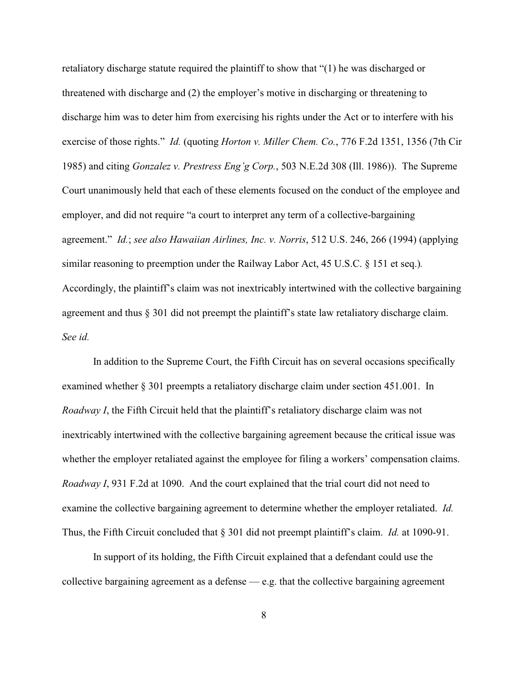retaliatory discharge statute required the plaintiff to show that "(1) he was discharged or threatened with discharge and (2) the employer's motive in discharging or threatening to discharge him was to deter him from exercising his rights under the Act or to interfere with his exercise of those rights." *Id.* (quoting *Horton v. Miller Chem. Co.*, 776 F.2d 1351, 1356 (7th Cir 1985) and citing *Gonzalez v. Prestress Eng'g Corp.*, 503 N.E.2d 308 (Ill. 1986)). The Supreme Court unanimously held that each of these elements focused on the conduct of the employee and employer, and did not require "a court to interpret any term of a collective-bargaining agreement." *Id.*; *see also Hawaiian Airlines, Inc. v. Norris*, 512 U.S. 246, 266 (1994) (applying similar reasoning to preemption under the Railway Labor Act, 45 U.S.C. § 151 et seq.)*.*  Accordingly, the plaintiff's claim was not inextricably intertwined with the collective bargaining agreement and thus § 301 did not preempt the plaintiff's state law retaliatory discharge claim. *See id.*

In addition to the Supreme Court, the Fifth Circuit has on several occasions specifically examined whether § 301 preempts a retaliatory discharge claim under section 451.001. In *Roadway I*, the Fifth Circuit held that the plaintiff's retaliatory discharge claim was not inextricably intertwined with the collective bargaining agreement because the critical issue was whether the employer retaliated against the employee for filing a workers' compensation claims. *Roadway I*, 931 F.2d at 1090. And the court explained that the trial court did not need to examine the collective bargaining agreement to determine whether the employer retaliated. *Id.* Thus, the Fifth Circuit concluded that § 301 did not preempt plaintiff's claim. *Id.* at 1090-91.

In support of its holding, the Fifth Circuit explained that a defendant could use the collective bargaining agreement as a defense  $-$  e.g. that the collective bargaining agreement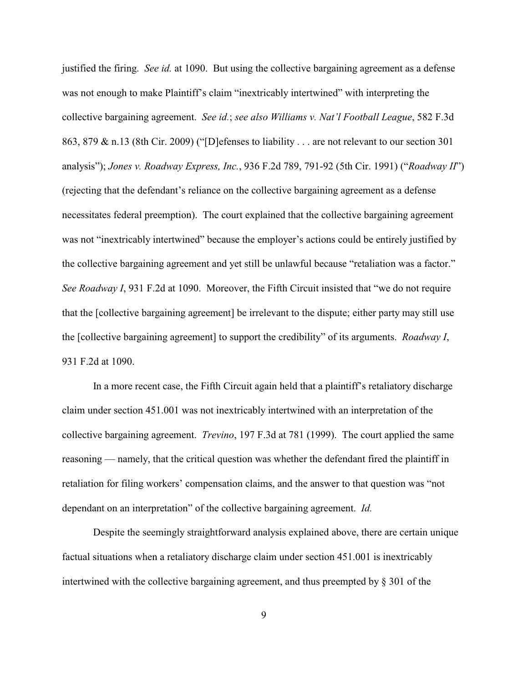justified the firing. *See id.* at 1090. But using the collective bargaining agreement as a defense was not enough to make Plaintiff's claim "inextricably intertwined" with interpreting the collective bargaining agreement. *See id.*; *see also Williams v. Nat'l Football League*, 582 F.3d 863, 879 & n.13 (8th Cir. 2009) ("[D]efenses to liability . . . are not relevant to our section 301 analysis"); *Jones v. Roadway Express, Inc.*, 936 F.2d 789, 791-92 (5th Cir. 1991) ("*Roadway II*") (rejecting that the defendant's reliance on the collective bargaining agreement as a defense necessitates federal preemption). The court explained that the collective bargaining agreement was not "inextricably intertwined" because the employer's actions could be entirely justified by the collective bargaining agreement and yet still be unlawful because "retaliation was a factor." *See Roadway I*, 931 F.2d at 1090. Moreover, the Fifth Circuit insisted that "we do not require that the [collective bargaining agreement] be irrelevant to the dispute; either party may still use the [collective bargaining agreement] to support the credibility" of its arguments. *Roadway I*, 931 F.2d at 1090.

In a more recent case, the Fifth Circuit again held that a plaintiff's retaliatory discharge claim under section 451.001 was not inextricably intertwined with an interpretation of the collective bargaining agreement. *Trevino*, 197 F.3d at 781 (1999). The court applied the same reasoning — namely, that the critical question was whether the defendant fired the plaintiff in retaliation for filing workers' compensation claims, and the answer to that question was "not dependant on an interpretation" of the collective bargaining agreement. *Id.*

Despite the seemingly straightforward analysis explained above, there are certain unique factual situations when a retaliatory discharge claim under section 451.001 is inextricably intertwined with the collective bargaining agreement, and thus preempted by § 301 of the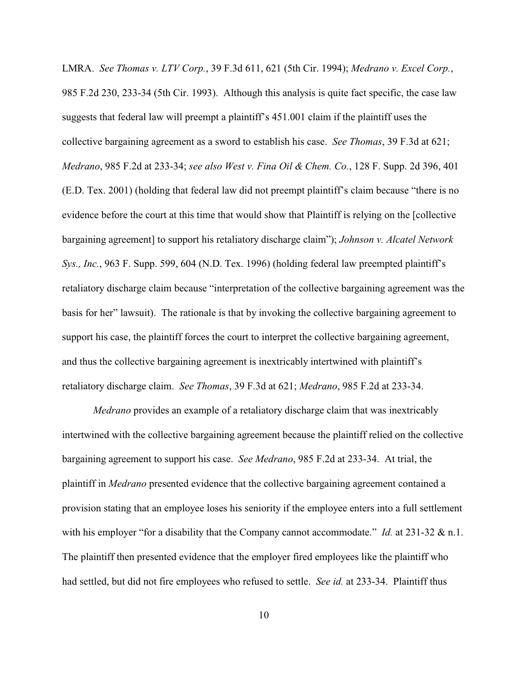LMRA. *See Thomas v. LTV Corp.*, 39 F.3d 611, 621 (5th Cir. 1994); *Medrano v. Excel Corp.*, 985 F.2d 230, 233-34 (5th Cir. 1993). Although this analysis is quite fact specific, the case law suggests that federal law will preempt a plaintiff's 451.001 claim if the plaintiff uses the collective bargaining agreement as a sword to establish his case. *See Thomas*, 39 F.3d at 621; *Medrano*, 985 F.2d at 233-34; *see also West v. Fina Oil & Chem. Co.*, 128 F. Supp. 2d 396, 401 (E.D. Tex. 2001) (holding that federal law did not preempt plaintiff's claim because "there is no evidence before the court at this time that would show that Plaintiff is relying on the [collective bargaining agreement] to support his retaliatory discharge claim"); *Johnson v. Alcatel Network Sys., Inc.*, 963 F. Supp. 599, 604 (N.D. Tex. 1996) (holding federal law preempted plaintiff's retaliatory discharge claim because "interpretation of the collective bargaining agreement was the basis for her" lawsuit). The rationale is that by invoking the collective bargaining agreement to support his case, the plaintiff forces the court to interpret the collective bargaining agreement, and thus the collective bargaining agreement is inextricably intertwined with plaintiff's retaliatory discharge claim. *See Thomas*, 39 F.3d at 621; *Medrano*, 985 F.2d at 233-34.

*Medrano* provides an example of a retaliatory discharge claim that was inextricably intertwined with the collective bargaining agreement because the plaintiff relied on the collective bargaining agreement to support his case. *See Medrano*, 985 F.2d at 233-34. At trial, the plaintiff in *Medrano* presented evidence that the collective bargaining agreement contained a provision stating that an employee loses his seniority if the employee enters into a full settlement with his employer "for a disability that the Company cannot accommodate." *Id.* at 231-32 & n.1. The plaintiff then presented evidence that the employer fired employees like the plaintiff who had settled, but did not fire employees who refused to settle. *See id.* at 233-34. Plaintiff thus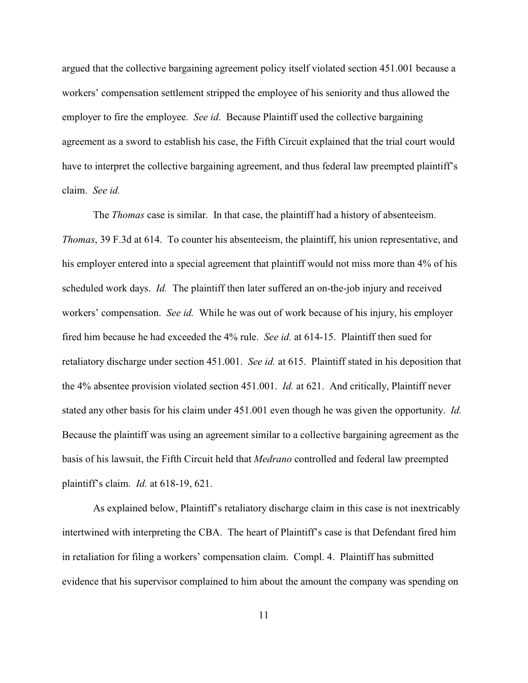argued that the collective bargaining agreement policy itself violated section 451.001 because a workers' compensation settlement stripped the employee of his seniority and thus allowed the employer to fire the employee. *See id*. Because Plaintiff used the collective bargaining agreement as a sword to establish his case, the Fifth Circuit explained that the trial court would have to interpret the collective bargaining agreement, and thus federal law preempted plaintiff's claim. *See id.*

The *Thomas* case is similar. In that case, the plaintiff had a history of absenteeism. *Thomas*, 39 F.3d at 614. To counter his absenteeism, the plaintiff, his union representative, and his employer entered into a special agreement that plaintiff would not miss more than 4% of his scheduled work days. *Id.* The plaintiff then later suffered an on-the-job injury and received workers' compensation. *See id.* While he was out of work because of his injury, his employer fired him because he had exceeded the 4% rule. *See id.* at 614-15. Plaintiff then sued for retaliatory discharge under section 451.001. *See id.* at 615. Plaintiff stated in his deposition that the 4% absentee provision violated section 451.001. *Id.* at 621. And critically, Plaintiff never stated any other basis for his claim under 451.001 even though he was given the opportunity. *Id.* Because the plaintiff was using an agreement similar to a collective bargaining agreement as the basis of his lawsuit, the Fifth Circuit held that *Medrano* controlled and federal law preempted plaintiff's claim. *Id.* at 618-19, 621.

As explained below, Plaintiff's retaliatory discharge claim in this case is not inextricably intertwined with interpreting the CBA. The heart of Plaintiff's case is that Defendant fired him in retaliation for filing a workers' compensation claim. Compl. 4. Plaintiff has submitted evidence that his supervisor complained to him about the amount the company was spending on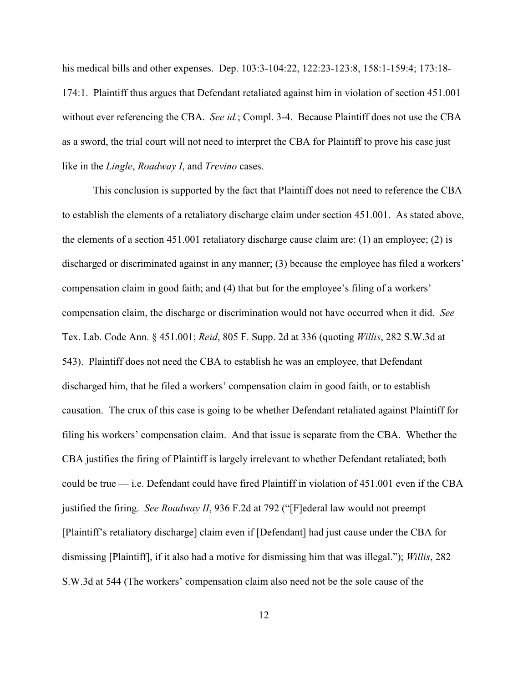his medical bills and other expenses. Dep. 103:3-104:22, 122:23-123:8, 158:1-159:4; 173:18- 174:1. Plaintiff thus argues that Defendant retaliated against him in violation of section 451.001 without ever referencing the CBA. *See id.*; Compl. 3-4. Because Plaintiff does not use the CBA as a sword, the trial court will not need to interpret the CBA for Plaintiff to prove his case just like in the *Lingle*, *Roadway I*, and *Trevino* cases.

This conclusion is supported by the fact that Plaintiff does not need to reference the CBA to establish the elements of a retaliatory discharge claim under section 451.001. As stated above, the elements of a section 451.001 retaliatory discharge cause claim are: (1) an employee; (2) is discharged or discriminated against in any manner; (3) because the employee has filed a workers' compensation claim in good faith; and (4) that but for the employee's filing of a workers' compensation claim, the discharge or discrimination would not have occurred when it did. *See* Tex. Lab. Code Ann. § 451.001; *Reid*, 805 F. Supp. 2d at 336 (quoting *Willis*, 282 S.W.3d at 543). Plaintiff does not need the CBA to establish he was an employee, that Defendant discharged him, that he filed a workers' compensation claim in good faith, or to establish causation. The crux of this case is going to be whether Defendant retaliated against Plaintiff for filing his workers' compensation claim. And that issue is separate from the CBA. Whether the CBA justifies the firing of Plaintiff is largely irrelevant to whether Defendant retaliated; both could be true — i.e. Defendant could have fired Plaintiff in violation of 451.001 even if the CBA justified the firing. *See Roadway II*, 936 F.2d at 792 ("[F]ederal law would not preempt [Plaintiff's retaliatory discharge] claim even if [Defendant] had just cause under the CBA for dismissing [Plaintiff], if it also had a motive for dismissing him that was illegal."); *Willis*, 282 S.W.3d at 544 (The workers' compensation claim also need not be the sole cause of the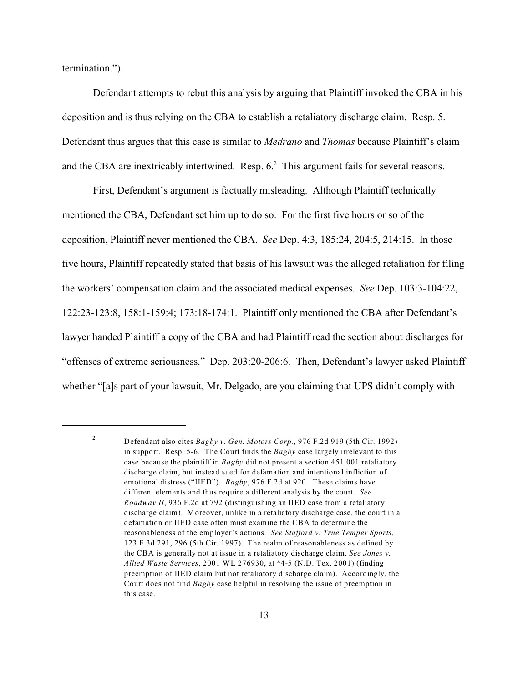termination.").

Defendant attempts to rebut this analysis by arguing that Plaintiff invoked the CBA in his deposition and is thus relying on the CBA to establish a retaliatory discharge claim. Resp. 5. Defendant thus argues that this case is similar to *Medrano* and *Thomas* because Plaintiff's claim and the CBA are inextricably intertwined. Resp.  $6<sup>2</sup>$  This argument fails for several reasons.

First, Defendant's argument is factually misleading. Although Plaintiff technically mentioned the CBA, Defendant set him up to do so. For the first five hours or so of the deposition, Plaintiff never mentioned the CBA. *See* Dep. 4:3, 185:24, 204:5, 214:15. In those five hours, Plaintiff repeatedly stated that basis of his lawsuit was the alleged retaliation for filing the workers' compensation claim and the associated medical expenses. *See* Dep. 103:3-104:22, 122:23-123:8, 158:1-159:4; 173:18-174:1. Plaintiff only mentioned the CBA after Defendant's lawyer handed Plaintiff a copy of the CBA and had Plaintiff read the section about discharges for "offenses of extreme seriousness." Dep. 203:20-206:6. Then, Defendant's lawyer asked Plaintiff whether "[a]s part of your lawsuit, Mr. Delgado, are you claiming that UPS didn't comply with

Defendant also cites *Bagby v. Gen. Motors Corp.*, 976 F.2d 919 (5th Cir. 1992) 2 in support. Resp. 5-6. The Court finds the *Bagby* case largely irrelevant to this case because the plaintiff in *Bagby* did not present a section 451.001 retaliatory discharge claim, but instead sued for defamation and intentional infliction of emotional distress ("IIED"). *Bagby*, 976 F.2d at 920. These claims have different elements and thus require a different analysis by the court. *See Roadway II*, 936 F.2d at 792 (distinguishing an IIED case from a retaliatory discharge claim). Moreover, unlike in a retaliatory discharge case, the court in a defamation or IIED case often must examine the CBA to determine the reasonableness of the employer's actions. *See Stafford v. True Temper Sports*, 123 F.3d 291, 296 (5th Cir. 1997). The realm of reasonableness as defined by the CBA is generally not at issue in a retaliatory discharge claim. *See Jones v. Allied Waste Services*, 2001 WL 276930, at \*4-5 (N.D. Tex. 2001) (finding preemption of IIED claim but not retaliatory discharge claim). Accordingly, the Court does not find *Bagby* case helpful in resolving the issue of preemption in this case.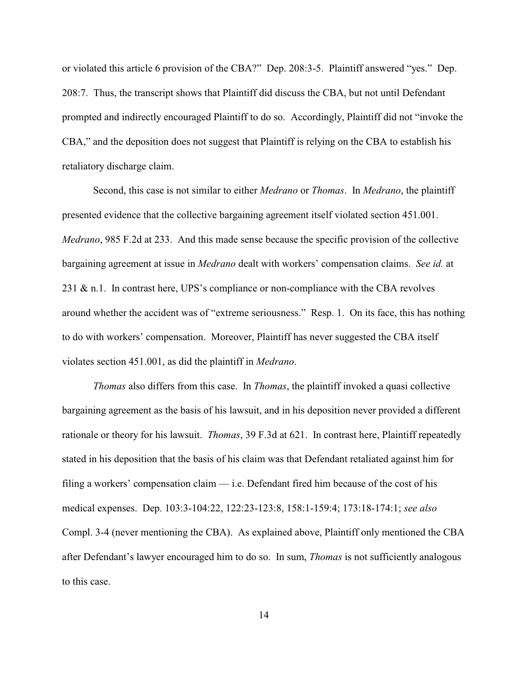or violated this article 6 provision of the CBA?" Dep. 208:3-5. Plaintiff answered "yes." Dep. 208:7. Thus, the transcript shows that Plaintiff did discuss the CBA, but not until Defendant prompted and indirectly encouraged Plaintiff to do so. Accordingly, Plaintiff did not "invoke the CBA," and the deposition does not suggest that Plaintiff is relying on the CBA to establish his retaliatory discharge claim.

Second, this case is not similar to either *Medrano* or *Thomas*. In *Medrano*, the plaintiff presented evidence that the collective bargaining agreement itself violated section 451.001. *Medrano*, 985 F.2d at 233. And this made sense because the specific provision of the collective bargaining agreement at issue in *Medrano* dealt with workers' compensation claims. *See id.* at 231 & n.1. In contrast here, UPS's compliance or non-compliance with the CBA revolves around whether the accident was of "extreme seriousness." Resp. 1. On its face, this has nothing to do with workers' compensation. Moreover, Plaintiff has never suggested the CBA itself violates section 451.001, as did the plaintiff in *Medrano*.

*Thomas* also differs from this case. In *Thomas*, the plaintiff invoked a quasi collective bargaining agreement as the basis of his lawsuit, and in his deposition never provided a different rationale or theory for his lawsuit. *Thomas*, 39 F.3d at 621. In contrast here, Plaintiff repeatedly stated in his deposition that the basis of his claim was that Defendant retaliated against him for filing a workers' compensation claim — i.e. Defendant fired him because of the cost of his medical expenses. Dep. 103:3-104:22, 122:23-123:8, 158:1-159:4; 173:18-174:1; *see also* Compl. 3-4 (never mentioning the CBA). As explained above, Plaintiff only mentioned the CBA after Defendant's lawyer encouraged him to do so. In sum, *Thomas* is not sufficiently analogous to this case.

14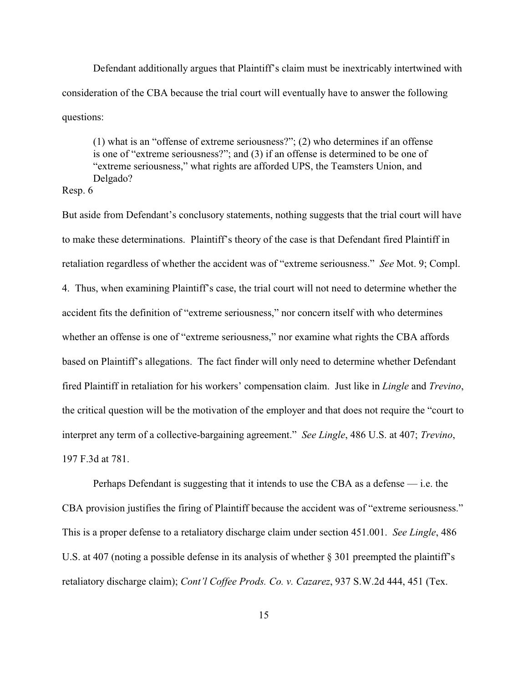Defendant additionally argues that Plaintiff's claim must be inextricably intertwined with consideration of the CBA because the trial court will eventually have to answer the following questions:

(1) what is an "offense of extreme seriousness?"; (2) who determines if an offense is one of "extreme seriousness?"; and (3) if an offense is determined to be one of "extreme seriousness," what rights are afforded UPS, the Teamsters Union, and Delgado?

# Resp. 6

But aside from Defendant's conclusory statements, nothing suggests that the trial court will have to make these determinations. Plaintiff's theory of the case is that Defendant fired Plaintiff in retaliation regardless of whether the accident was of "extreme seriousness." *See* Mot. 9; Compl. 4. Thus, when examining Plaintiff's case, the trial court will not need to determine whether the accident fits the definition of "extreme seriousness," nor concern itself with who determines whether an offense is one of "extreme seriousness," nor examine what rights the CBA affords based on Plaintiff's allegations. The fact finder will only need to determine whether Defendant fired Plaintiff in retaliation for his workers' compensation claim. Just like in *Lingle* and *Trevino*, the critical question will be the motivation of the employer and that does not require the "court to interpret any term of a collective-bargaining agreement." *See Lingle*, 486 U.S. at 407; *Trevino*, 197 F.3d at 781.

Perhaps Defendant is suggesting that it intends to use the CBA as a defense — i.e. the CBA provision justifies the firing of Plaintiff because the accident was of "extreme seriousness." This is a proper defense to a retaliatory discharge claim under section 451.001. *See Lingle*, 486 U.S. at 407 (noting a possible defense in its analysis of whether § 301 preempted the plaintiff's retaliatory discharge claim); *Cont'l Coffee Prods. Co. v. Cazarez*, 937 S.W.2d 444, 451 (Tex.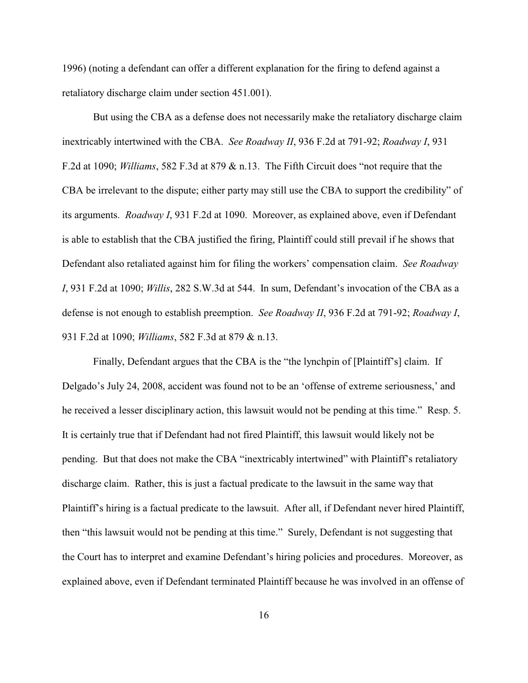1996) (noting a defendant can offer a different explanation for the firing to defend against a retaliatory discharge claim under section 451.001).

But using the CBA as a defense does not necessarily make the retaliatory discharge claim inextricably intertwined with the CBA. *See Roadway II*, 936 F.2d at 791-92; *Roadway I*, 931 F.2d at 1090; *Williams*, 582 F.3d at 879 & n.13. The Fifth Circuit does "not require that the CBA be irrelevant to the dispute; either party may still use the CBA to support the credibility" of its arguments. *Roadway I*, 931 F.2d at 1090. Moreover, as explained above, even if Defendant is able to establish that the CBA justified the firing, Plaintiff could still prevail if he shows that Defendant also retaliated against him for filing the workers' compensation claim. *See Roadway I*, 931 F.2d at 1090; *Willis*, 282 S.W.3d at 544. In sum, Defendant's invocation of the CBA as a defense is not enough to establish preemption. *See Roadway II*, 936 F.2d at 791-92; *Roadway I*, 931 F.2d at 1090; *Williams*, 582 F.3d at 879 & n.13.

Finally, Defendant argues that the CBA is the "the lynchpin of [Plaintiff's] claim. If Delgado's July 24, 2008, accident was found not to be an 'offense of extreme seriousness,' and he received a lesser disciplinary action, this lawsuit would not be pending at this time." Resp. 5. It is certainly true that if Defendant had not fired Plaintiff, this lawsuit would likely not be pending. But that does not make the CBA "inextricably intertwined" with Plaintiff's retaliatory discharge claim. Rather, this is just a factual predicate to the lawsuit in the same way that Plaintiff's hiring is a factual predicate to the lawsuit. After all, if Defendant never hired Plaintiff, then "this lawsuit would not be pending at this time." Surely, Defendant is not suggesting that the Court has to interpret and examine Defendant's hiring policies and procedures. Moreover, as explained above, even if Defendant terminated Plaintiff because he was involved in an offense of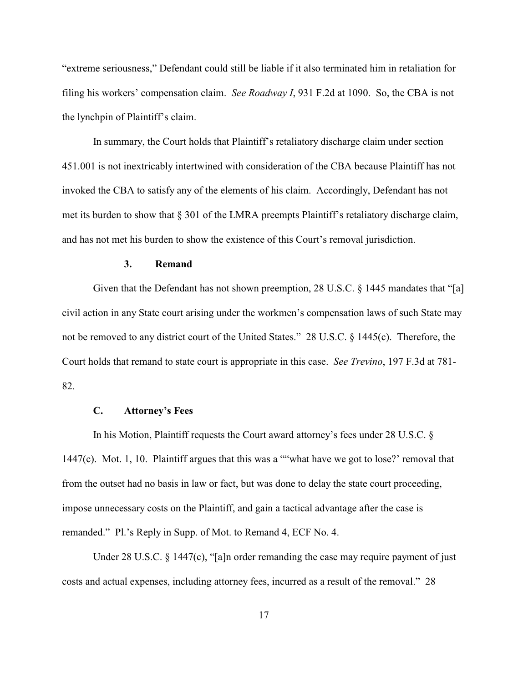"extreme seriousness," Defendant could still be liable if it also terminated him in retaliation for filing his workers' compensation claim. *See Roadway I*, 931 F.2d at 1090. So, the CBA is not the lynchpin of Plaintiff's claim.

In summary, the Court holds that Plaintiff's retaliatory discharge claim under section 451.001 is not inextricably intertwined with consideration of the CBA because Plaintiff has not invoked the CBA to satisfy any of the elements of his claim. Accordingly, Defendant has not met its burden to show that § 301 of the LMRA preempts Plaintiff's retaliatory discharge claim, and has not met his burden to show the existence of this Court's removal jurisdiction.

# **3. Remand**

Given that the Defendant has not shown preemption, 28 U.S.C. § 1445 mandates that "[a] civil action in any State court arising under the workmen's compensation laws of such State may not be removed to any district court of the United States." 28 U.S.C. § 1445(c). Therefore, the Court holds that remand to state court is appropriate in this case. *See Trevino*, 197 F.3d at 781- 82.

## **C. Attorney's Fees**

In his Motion, Plaintiff requests the Court award attorney's fees under 28 U.S.C. § 1447(c). Mot. 1, 10. Plaintiff argues that this was a ""what have we got to lose?' removal that from the outset had no basis in law or fact, but was done to delay the state court proceeding, impose unnecessary costs on the Plaintiff, and gain a tactical advantage after the case is remanded." Pl.'s Reply in Supp. of Mot. to Remand 4, ECF No. 4.

Under 28 U.S.C. § 1447(c), "[a]n order remanding the case may require payment of just costs and actual expenses, including attorney fees, incurred as a result of the removal." 28